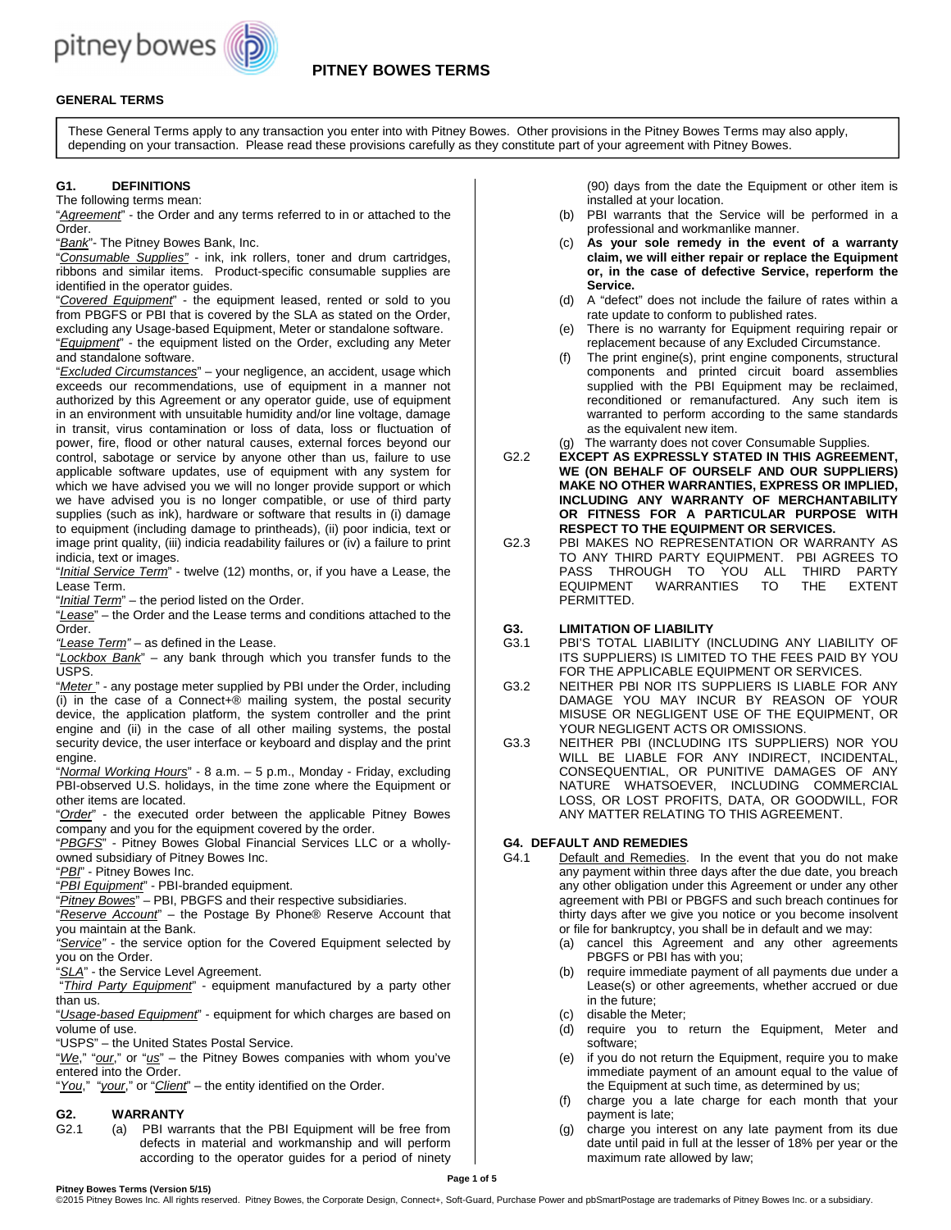

# **GENERAL TERMS**

These General Terms apply to any transaction you enter into with Pitney Bowes. Other provisions in the Pitney Bowes Terms may also apply, depending on your transaction. Please read these provisions carefully as they constitute part of your agreement with Pitney Bowes.

## **G1. DEFINITIONS**

The following terms mean:

"Agreement" - the Order and any terms referred to in or attached to the Order.

"Bank"- The Pitney Bowes Bank, Inc.

"Consumable Supplies" - ink, ink rollers, toner and drum cartridges, ribbons and similar items. Product-specific consumable supplies are identified in the operator guides.

"Covered Equipment" - the equipment leased, rented or sold to you from PBGFS or PBI that is covered by the SLA as stated on the Order, excluding any Usage-based Equipment, Meter or standalone software. "Equipment" - the equipment listed on the Order, excluding any Meter and standalone software.

"Excluded Circumstances" - your negligence, an accident, usage which exceeds our recommendations, use of equipment in a manner not authorized by this Agreement or any operator guide, use of equipment in an environment with unsuitable humidity and/or line voltage, damage in transit, virus contamination or loss of data, loss or fluctuation of power, fire, flood or other natural causes, external forces beyond our control, sabotage or service by anyone other than us, failure to use applicable software updates, use of equipment with any system for which we have advised you we will no longer provide support or which we have advised you is no longer compatible, or use of third party supplies (such as ink), hardware or software that results in (i) damage to equipment (including damage to printheads), (ii) poor indicia, text or image print quality, (iii) indicia readability failures or (iv) a failure to print indicia, text or images.

"*Initial Service Term*" - twelve (12) months, or, if you have a Lease, the Lease Term.

"Initial Term" – the period listed on the Order.

"Lease" – the Order and the Lease terms and conditions attached to the Order.

"Lease Term" - as defined in the Lease.

"Lockbox Bank" – any bank through which you transfer funds to the USPS.

"Meter " - any postage meter supplied by PBI under the Order, including (i) in the case of a Connect+® mailing system, the postal security device, the application platform, the system controller and the print engine and (ii) in the case of all other mailing systems, the postal security device, the user interface or keyboard and display and the print engine.

"Normal Working Hours" - 8 a.m. - 5 p.m., Monday - Friday, excluding PBI-observed U.S. holidays, in the time zone where the Equipment or other items are located.

"Order" - the executed order between the applicable Pitney Bowes company and you for the equipment covered by the order.

"PBGFS" - Pitney Bowes Global Financial Services LLC or a whollyowned subsidiary of Pitney Bowes Inc.

"**PBI**" - Pitney Bowes Inc.

"PBI Equipment" - PBI-branded equipment.

"Pitney Bowes" – PBI, PBGFS and their respective subsidiaries.

"Reserve Account" - the Postage By Phone® Reserve Account that you maintain at the Bank.

"Service" - the service option for the Covered Equipment selected by you on the Order.

"SLA" - the Service Level Agreement.

"Third Party Equipment" - equipment manufactured by a party other than us.

"Usage-based Equipment" - equipment for which charges are based on volume of use.

"USPS" – the United States Postal Service.

"We," "our," or "us" – the Pitney Bowes companies with whom you've entered into the Order.

"You," "your," or "Client" – the entity identified on the Order.

# **G2. WARRANTY**

(a) PBI warrants that the PBI Equipment will be free from defects in material and workmanship and will perform according to the operator guides for a period of ninety

(90) days from the date the Equipment or other item is installed at your location.

- (b) PBI warrants that the Service will be performed in a professional and workmanlike manner.
- (c) **As your sole remedy in the event of a warranty claim, we will either repair or replace the Equipment or, in the case of defective Service, reperform the Service.**
- (d) A "defect" does not include the failure of rates within a rate update to conform to published rates.
- (e) There is no warranty for Equipment requiring repair or replacement because of any Excluded Circumstance.
- (f) The print engine(s), print engine components, structural components and printed circuit board assemblies supplied with the PBI Equipment may be reclaimed, reconditioned or remanufactured. Any such item is warranted to perform according to the same standards as the equivalent new item.

(g) The warranty does not cover Consumable Supplies.

- G2.2 **EXCEPT AS EXPRESSLY STATED IN THIS AGREEMENT, WE (ON BEHALF OF OURSELF AND OUR SUPPLIERS) MAKE NO OTHER WARRANTIES, EXPRESS OR IMPLIED, INCLUDING ANY WARRANTY OF MERCHANTABILITY OR FITNESS FOR A PARTICULAR PURPOSE WITH RESPECT TO THE EQUIPMENT OR SERVICES.**
- G2.3 PBI MAKES NO REPRESENTATION OR WARRANTY AS TO ANY THIRD PARTY EQUIPMENT. PBI AGREES TO PASS THROUGH TO YOU ALL THIRD PARTY EQUIPMENT WARRANTIES TO THE EXTENT PERMITTED.
- **G3. LIMITATION OF LIABILITY**
- G3.1 PBI'S TOTAL LIABILITY (INCLUDING ANY LIABILITY OF ITS SUPPLIERS) IS LIMITED TO THE FEES PAID BY YOU FOR THE APPLICABLE EQUIPMENT OR SERVICES.
- G3.2 NEITHER PBI NOR ITS SUPPLIERS IS LIABLE FOR ANY DAMAGE YOU MAY INCUR BY REASON OF YOUR MISUSE OR NEGLIGENT USE OF THE EQUIPMENT, OR YOUR NEGLIGENT ACTS OR OMISSIONS.
- G3.3 NEITHER PBI (INCLUDING ITS SUPPLIERS) NOR YOU WILL BE LIABLE FOR ANY INDIRECT, INCIDENTAL, CONSEQUENTIAL, OR PUNITIVE DAMAGES OF ANY NATURE WHATSOEVER, INCLUDING COMMERCIAL LOSS, OR LOST PROFITS, DATA, OR GOODWILL, FOR ANY MATTER RELATING TO THIS AGREEMENT.

## **G4. DEFAULT AND REMEDIES**

- G4.1 Default and Remedies. In the event that you do not make any payment within three days after the due date, you breach any other obligation under this Agreement or under any other agreement with PBI or PBGFS and such breach continues for thirty days after we give you notice or you become insolvent or file for bankruptcy, you shall be in default and we may:
	- (a) cancel this Agreement and any other agreements PBGFS or PBI has with you;
	- (b) require immediate payment of all payments due under a Lease(s) or other agreements, whether accrued or due in the future;
	- (c) disable the Meter;
	- (d) require you to return the Equipment, Meter and software;
	- (e) if you do not return the Equipment, require you to make immediate payment of an amount equal to the value of the Equipment at such time, as determined by us;
	- (f) charge you a late charge for each month that your payment is late;
	- (g) charge you interest on any late payment from its due date until paid in full at the lesser of 18% per year or the maximum rate allowed by law;

 **Page 1 of 5**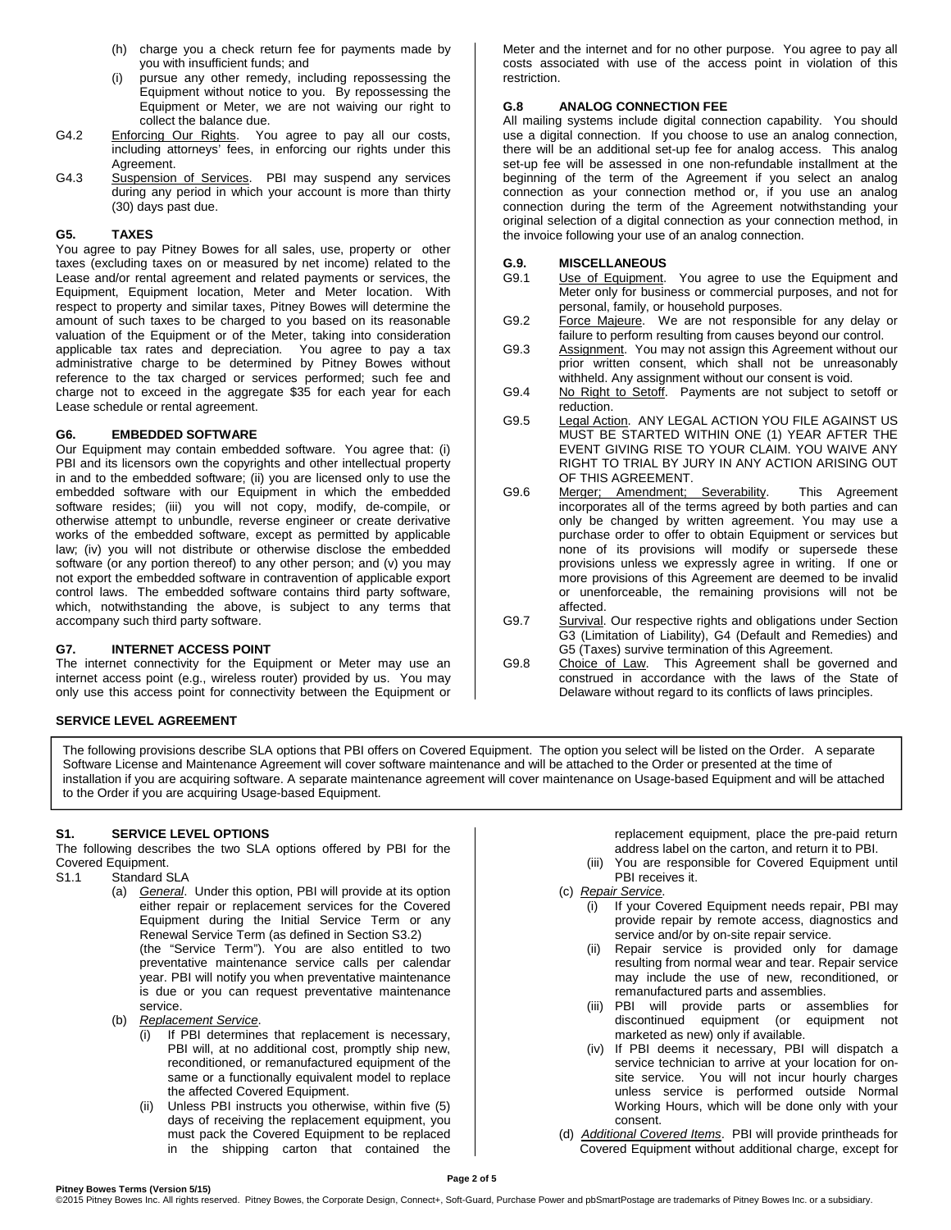- (h) charge you a check return fee for payments made by you with insufficient funds; and
- (i) pursue any other remedy, including repossessing the Equipment without notice to you. By repossessing the Equipment or Meter, we are not waiving our right to collect the balance due.
- G4.2 Enforcing Our Rights. You agree to pay all our costs, including attorneys' fees, in enforcing our rights under this Agreement.
- G4.3 Suspension of Services. PBI may suspend any services during any period in which your account is more than thirty (30) days past due.

## **G5. TAXES**

You agree to pay Pitney Bowes for all sales, use, property or other taxes (excluding taxes on or measured by net income) related to the Lease and/or rental agreement and related payments or services, the Equipment, Equipment location, Meter and Meter location. With respect to property and similar taxes, Pitney Bowes will determine the amount of such taxes to be charged to you based on its reasonable valuation of the Equipment or of the Meter, taking into consideration applicable tax rates and depreciation. You agree to pay a tax administrative charge to be determined by Pitney Bowes without reference to the tax charged or services performed; such fee and charge not to exceed in the aggregate \$35 for each year for each Lease schedule or rental agreement.

#### **G6. EMBEDDED SOFTWARE**

Our Equipment may contain embedded software. You agree that: (i) PBI and its licensors own the copyrights and other intellectual property in and to the embedded software; (ii) you are licensed only to use the embedded software with our Equipment in which the embedded software resides; (iii) you will not copy, modify, de-compile, or otherwise attempt to unbundle, reverse engineer or create derivative works of the embedded software, except as permitted by applicable law; (iv) you will not distribute or otherwise disclose the embedded software (or any portion thereof) to any other person; and (v) you may not export the embedded software in contravention of applicable export control laws. The embedded software contains third party software, which, notwithstanding the above, is subject to any terms that accompany such third party software.

## **G7. INTERNET ACCESS POINT**

The internet connectivity for the Equipment or Meter may use an internet access point (e.g., wireless router) provided by us. You may only use this access point for connectivity between the Equipment or

#### **SERVICE LEVEL AGREEMENT**

Meter and the internet and for no other purpose. You agree to pay all costs associated with use of the access point in violation of this restriction.

#### **G.8 ANALOG CONNECTION FEE**

All mailing systems include digital connection capability. You should use a digital connection. If you choose to use an analog connection, there will be an additional set-up fee for analog access. This analog set-up fee will be assessed in one non-refundable installment at the beginning of the term of the Agreement if you select an analog connection as your connection method or, if you use an analog connection during the term of the Agreement notwithstanding your original selection of a digital connection as your connection method, in the invoice following your use of an analog connection.

## **G.9. MISCELLANEOUS**

- G9.1 Use of Equipment. You agree to use the Equipment and Meter only for business or commercial purposes, and not for personal, family, or household purposes.
- G9.2 Force Majeure. We are not responsible for any delay or failure to perform resulting from causes beyond our control.
- G9.3 Assignment. You may not assign this Agreement without our prior written consent, which shall not be unreasonably withheld. Any assignment without our consent is void.
- G9.4 No Right to Setoff. Payments are not subject to setoff or reduction.
- G9.5 Legal Action. ANY LEGAL ACTION YOU FILE AGAINST US MUST BE STARTED WITHIN ONE (1) YEAR AFTER THE EVENT GIVING RISE TO YOUR CLAIM. YOU WAIVE ANY RIGHT TO TRIAL BY JURY IN ANY ACTION ARISING OUT OF THIS AGREEMENT.
- G9.6 Merger; Amendment; Severability. This Agreement incorporates all of the terms agreed by both parties and can only be changed by written agreement. You may use a purchase order to offer to obtain Equipment or services but none of its provisions will modify or supersede these provisions unless we expressly agree in writing. If one or more provisions of this Agreement are deemed to be invalid or unenforceable, the remaining provisions will not be affected.
- G9.7 Survival. Our respective rights and obligations under Section G3 (Limitation of Liability), G4 (Default and Remedies) and G5 (Taxes) survive termination of this Agreement.
- G9.8 Choice of Law. This Agreement shall be governed and construed in accordance with the laws of the State of Delaware without regard to its conflicts of laws principles.

The following provisions describe SLA options that PBI offers on Covered Equipment. The option you select will be listed on the Order. A separate Software License and Maintenance Agreement will cover software maintenance and will be attached to the Order or presented at the time of installation if you are acquiring software. A separate maintenance agreement will cover maintenance on Usage-based Equipment and will be attached to the Order if you are acquiring Usage-based Equipment.

## **S1. SERVICE LEVEL OPTIONS**

The following describes the two SLA options offered by PBI for the Covered Equipment.

- S1.1 Standard SLA
	- (a) General. Under this option, PBI will provide at its option either repair or replacement services for the Covered Equipment during the Initial Service Term or any Renewal Service Term (as defined in Section S3.2) (the "Service Term"). You are also entitled to two preventative maintenance service calls per calendar year. PBI will notify you when preventative maintenance is due or you can request preventative maintenance service.
	- (b) Replacement Service.
		- (i) If PBI determines that replacement is necessary, PBI will, at no additional cost, promptly ship new, reconditioned, or remanufactured equipment of the same or a functionally equivalent model to replace the affected Covered Equipment.
		- (ii) Unless PBI instructs you otherwise, within five (5) days of receiving the replacement equipment, you must pack the Covered Equipment to be replaced in the shipping carton that contained the

replacement equipment, place the pre-paid return address label on the carton, and return it to PBI.

- (iii) You are responsible for Covered Equipment until PBI receives it.
- (c) Repair Service.
	- (i) If your Covered Equipment needs repair, PBI may provide repair by remote access, diagnostics and service and/or by on-site repair service.
	- (ii) Repair service is provided only for damage resulting from normal wear and tear. Repair service may include the use of new, reconditioned, or remanufactured parts and assemblies.
	- (iii) PBI will provide parts or assemblies for discontinued equipment (or equipment not marketed as new) only if available.
	- (iv) If PBI deems it necessary, PBI will dispatch a service technician to arrive at your location for onsite service. You will not incur hourly charges unless service is performed outside Normal Working Hours, which will be done only with your consent.
- (d) **Additional Covered Items**. PBI will provide printheads for Covered Equipment without additional charge, except for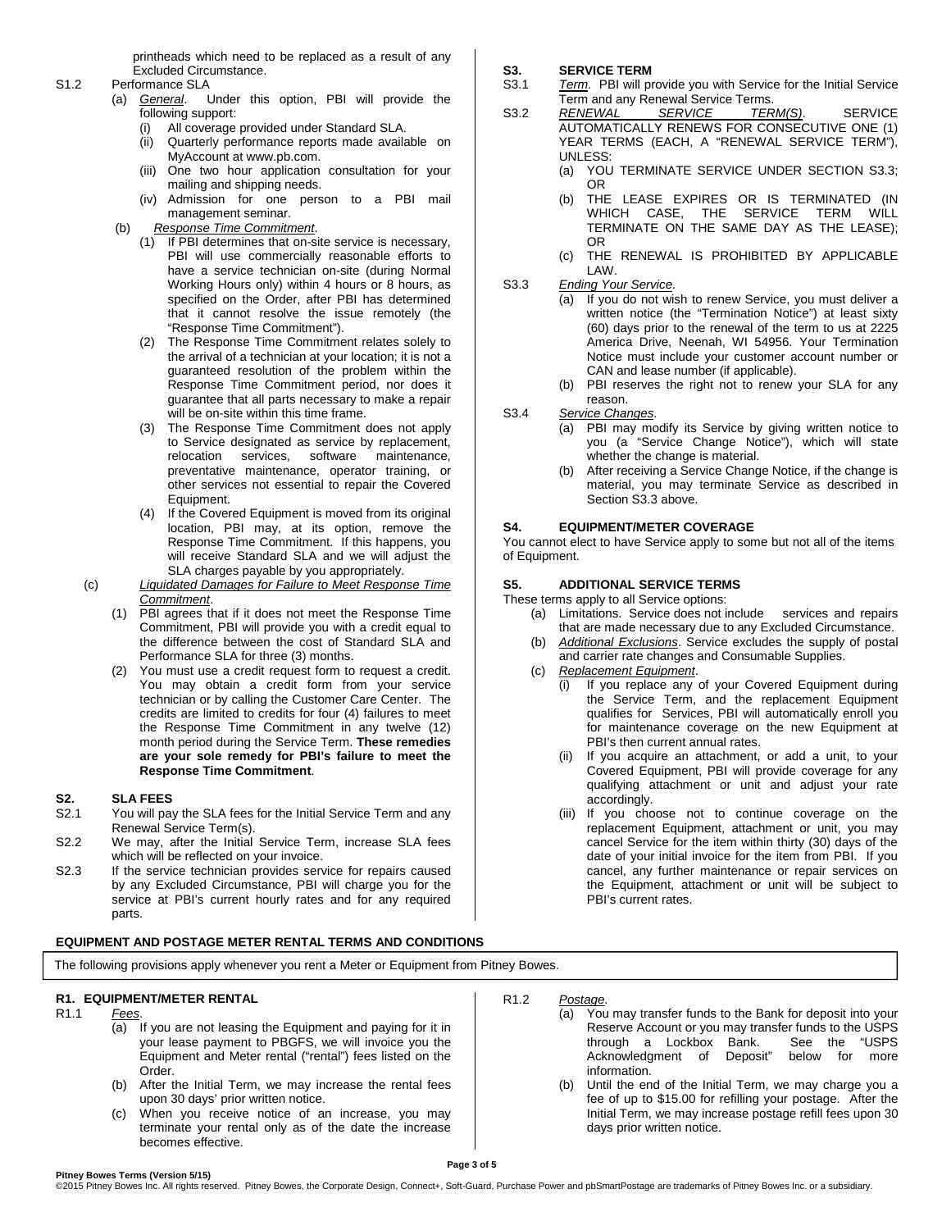printheads which need to be replaced as a result of any Excluded Circumstance.

- S1.2 Performance SLA
	- (a) General. Under this option, PBI will provide the following support:
		- (i) All coverage provided under Standard SLA.
		- (ii) Quarterly performance reports made available on MyAccount at www.pb.com.
		- (iii) One two hour application consultation for your mailing and shipping needs.
		- (iv) Admission for one person to a PBI mail management seminar.
	- (b) Response Time Commitment.
		- (1) If PBI determines that on-site service is necessary, PBI will use commercially reasonable efforts to have a service technician on-site (during Normal Working Hours only) within 4 hours or 8 hours, as specified on the Order, after PBI has determined that it cannot resolve the issue remotely (the "Response Time Commitment").
		- (2) The Response Time Commitment relates solely to the arrival of a technician at your location; it is not a guaranteed resolution of the problem within the Response Time Commitment period, nor does it guarantee that all parts necessary to make a repair will be on-site within this time frame.
		- (3) The Response Time Commitment does not apply to Service designated as service by replacement, relocation services, software maintenance, preventative maintenance, operator training, or other services not essential to repair the Covered Equipment.
		- (4) If the Covered Equipment is moved from its original location, PBI may, at its option, remove the Response Time Commitment. If this happens, you will receive Standard SLA and we will adjust the SLA charges payable by you appropriately.
	- (c) Liquidated Damages for Failure to Meet Response Time Commitment.
		- (1) PBI agrees that if it does not meet the Response Time Commitment, PBI will provide you with a credit equal to the difference between the cost of Standard SLA and Performance SLA for three (3) months.
		- (2) You must use a credit request form to request a credit. You may obtain a credit form from your service technician or by calling the Customer Care Center. The credits are limited to credits for four (4) failures to meet the Response Time Commitment in any twelve (12) month period during the Service Term. **These remedies are your sole remedy for PBI's failure to meet the Response Time Commitment**.

## **S2. SLA FEES**

- S2.1 You will pay the SLA fees for the Initial Service Term and any Renewal Service Term(s).
- S2.2 We may, after the Initial Service Term, increase SLA fees which will be reflected on your invoice.
- S2.3 If the service technician provides service for repairs caused by any Excluded Circumstance, PBI will charge you for the service at PBI's current hourly rates and for any required parts.

#### **EQUIPMENT AND POSTAGE METER RENTAL TERMS AND CONDITIONS**

The following provisions apply whenever you rent a Meter or Equipment from Pitney Bowes.

## **R1. EQUIPMENT/METER RENTAL**

- R1.1 Fees.
	- (a) If you are not leasing the Equipment and paying for it in your lease payment to PBGFS, we will invoice you the Equipment and Meter rental ("rental") fees listed on the Order.
	- (b) After the Initial Term, we may increase the rental fees upon 30 days' prior written notice.
	- (c) When you receive notice of an increase, you may terminate your rental only as of the date the increase becomes effective.

## **S3. SERVICE TERM**

- S3.1 Term. PBI will provide you with Service for the Initial Service Term and any Renewal Service Terms.
- S3.2 RENEWAL SERVICE TERM(S). SERVICE AUTOMATICALLY RENEWS FOR CONSECUTIVE ONE (1) YEAR TERMS (EACH, A "RENEWAL SERVICE TERM"), UNLESS:
	- (a) YOU TERMINATE SERVICE UNDER SECTION S3.3; OR
	- (b) THE LEASE EXPIRES OR IS TERMINATED (IN WHICH CASE, THE SERVICE TERM WILL TERMINATE ON THE SAME DAY AS THE LEASE); OR
	- (c) THE RENEWAL IS PROHIBITED BY APPLICABLE LAW.
- S3.3 Ending Your Service.
	- (a) If you do not wish to renew Service, you must deliver a written notice (the "Termination Notice") at least sixty (60) days prior to the renewal of the term to us at 2225 America Drive, Neenah, WI 54956. Your Termination Notice must include your customer account number or CAN and lease number (if applicable).
		- (b) PBI reserves the right not to renew your SLA for any reason.
- S3.4 Service Changes.
	- (a) PBI may modify its Service by giving written notice to you (a "Service Change Notice"), which will state whether the change is material.
	- After receiving a Service Change Notice, if the change is material, you may terminate Service as described in Section S3.3 above.

## **S4. EQUIPMENT/METER COVERAGE**

You cannot elect to have Service apply to some but not all of the items of Equipment.

# **S5. ADDITIONAL SERVICE TERMS**

These terms apply to all Service options:

- (a) Limitations. Service does not include services and repairs that are made necessary due to any Excluded Circumstance.
- (b) Additional Exclusions. Service excludes the supply of postal and carrier rate changes and Consumable Supplies.
- (c) Replacement Equipment.
	- (i) If you replace any of your Covered Equipment during the Service Term, and the replacement Equipment qualifies for Services, PBI will automatically enroll you for maintenance coverage on the new Equipment at PBI's then current annual rates.
	- (ii) If you acquire an attachment, or add a unit, to your Covered Equipment, PBI will provide coverage for any qualifying attachment or unit and adjust your rate accordingly.
	- (iii) If you choose not to continue coverage on the replacement Equipment, attachment or unit, you may cancel Service for the item within thirty (30) days of the date of your initial invoice for the item from PBI. If you cancel, any further maintenance or repair services on the Equipment, attachment or unit will be subject to PBI's current rates.
- R1.2 Postage.
	- (a) You may transfer funds to the Bank for deposit into your Reserve Account or you may transfer funds to the USPS<br>through a Lockbox Bank. See the "USPS through a Lockbox Bank. Acknowledgment of Deposit" below for more information.
	- (b) Until the end of the Initial Term, we may charge you a fee of up to \$15.00 for refilling your postage. After the Initial Term, we may increase postage refill fees upon 30 days prior written notice.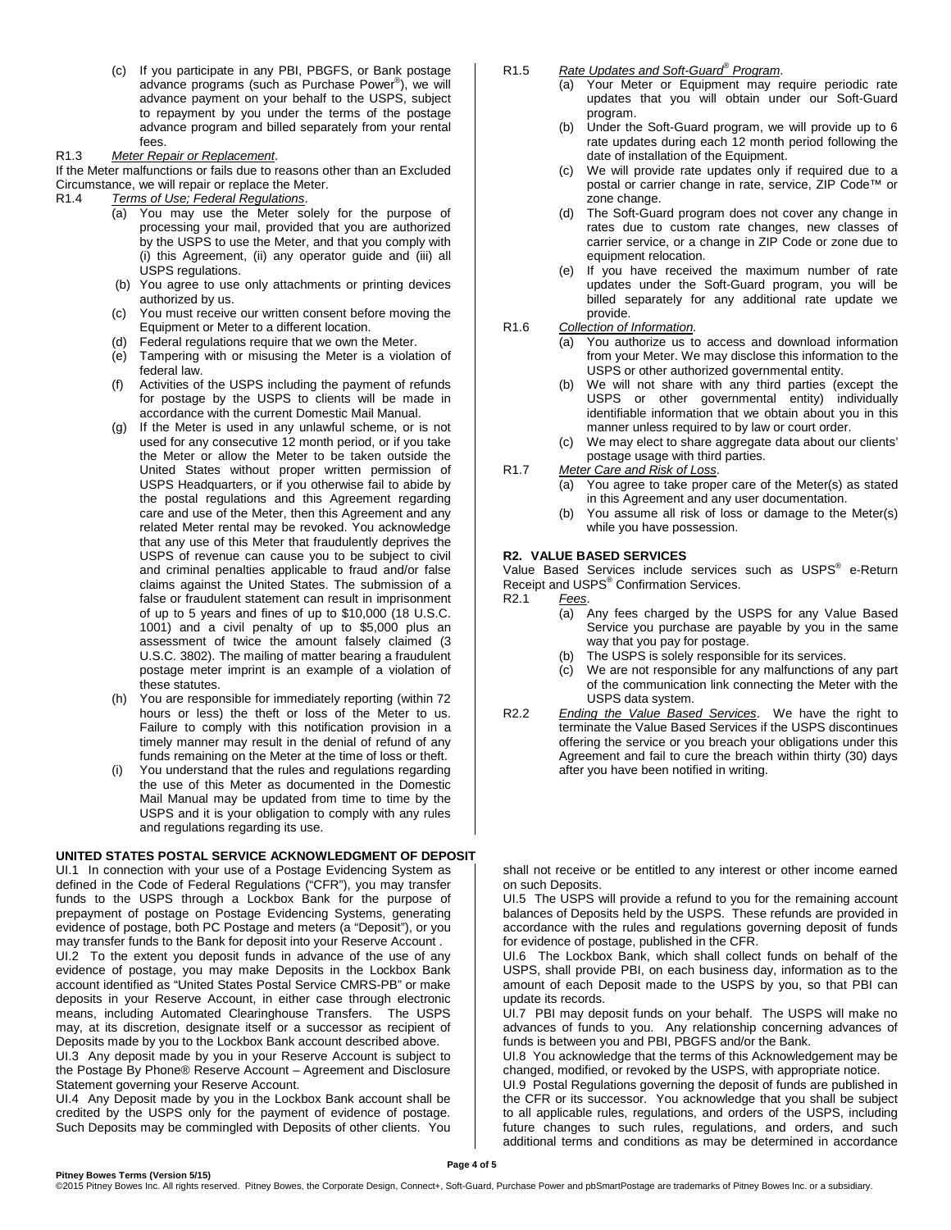(c) If you participate in any PBI, PBGFS, or Bank postage advance programs (such as Purchase Power® ), we will advance payment on your behalf to the USPS, subject to repayment by you under the terms of the postage advance program and billed separately from your rental fees.

#### R1.3 Meter Repair or Replacement.

If the Meter malfunctions or fails due to reasons other than an Excluded Circumstance, we will repair or replace the Meter.

R1.4 Terms of Use; Federal Regulations.

- (a) You may use the Meter solely for the purpose of processing your mail, provided that you are authorized by the USPS to use the Meter, and that you comply with (i) this Agreement, (ii) any operator guide and (iii) all USPS regulations.
- (b) You agree to use only attachments or printing devices authorized by us.
- (c) You must receive our written consent before moving the Equipment or Meter to a different location.
- (d) Federal regulations require that we own the Meter.
- (e) Tampering with or misusing the Meter is a violation of federal law.
- (f) Activities of the USPS including the payment of refunds for postage by the USPS to clients will be made in accordance with the current Domestic Mail Manual.
- (g) If the Meter is used in any unlawful scheme, or is not used for any consecutive 12 month period, or if you take the Meter or allow the Meter to be taken outside the United States without proper written permission of USPS Headquarters, or if you otherwise fail to abide by the postal regulations and this Agreement regarding care and use of the Meter, then this Agreement and any related Meter rental may be revoked. You acknowledge that any use of this Meter that fraudulently deprives the USPS of revenue can cause you to be subject to civil and criminal penalties applicable to fraud and/or false claims against the United States. The submission of a false or fraudulent statement can result in imprisonment of up to 5 years and fines of up to \$10,000 (18 U.S.C. 1001) and a civil penalty of up to \$5,000 plus an assessment of twice the amount falsely claimed (3 U.S.C. 3802). The mailing of matter bearing a fraudulent postage meter imprint is an example of a violation of these statutes.
- (h) You are responsible for immediately reporting (within 72 hours or less) the theft or loss of the Meter to us. Failure to comply with this notification provision in a timely manner may result in the denial of refund of any funds remaining on the Meter at the time of loss or theft.
- You understand that the rules and regulations regarding the use of this Meter as documented in the Domestic Mail Manual may be updated from time to time by the USPS and it is your obligation to comply with any rules and regulations regarding its use.

#### **UNITED STATES POSTAL SERVICE ACKNOWLEDGMENT OF DEPOSIT**

UI.1 In connection with your use of a Postage Evidencing System as defined in the Code of Federal Regulations ("CFR"), you may transfer funds to the USPS through a Lockbox Bank for the purpose of prepayment of postage on Postage Evidencing Systems, generating evidence of postage, both PC Postage and meters (a "Deposit"), or you may transfer funds to the Bank for deposit into your Reserve Account . UI.2 To the extent you deposit funds in advance of the use of any evidence of postage, you may make Deposits in the Lockbox Bank account identified as "United States Postal Service CMRS-PB" or make deposits in your Reserve Account, in either case through electronic means, including Automated Clearinghouse Transfers. The USPS

may, at its discretion, designate itself or a successor as recipient of Deposits made by you to the Lockbox Bank account described above. UI.3 Any deposit made by you in your Reserve Account is subject to the Postage By Phone® Reserve Account – Agreement and Disclosure

Statement governing your Reserve Account. UI.4 Any Deposit made by you in the Lockbox Bank account shall be credited by the USPS only for the payment of evidence of postage. Such Deposits may be commingled with Deposits of other clients. You

## R1.5 Rate Updates and Soft-Guard<sup>®</sup> Program.

- (a) Your Meter or Equipment may require periodic rate updates that you will obtain under our Soft-Guard program.
- (b) Under the Soft-Guard program, we will provide up to 6 rate updates during each 12 month period following the date of installation of the Equipment.
- (c) We will provide rate updates only if required due to a postal or carrier change in rate, service, ZIP Code™ or zone change.
- (d) The Soft-Guard program does not cover any change in rates due to custom rate changes, new classes of carrier service, or a change in ZIP Code or zone due to equipment relocation.
- (e) If you have received the maximum number of rate updates under the Soft-Guard program, you will be billed separately for any additional rate update we provide.
- R1.6 Collection of Information.
	- (a) You authorize us to access and download information from your Meter. We may disclose this information to the USPS or other authorized governmental entity.
	- (b) We will not share with any third parties (except the USPS or other governmental entity) individually identifiable information that we obtain about you in this manner unless required to by law or court order.
	- (c) We may elect to share aggregate data about our clients' postage usage with third parties.
- R1.7 Meter Care and Risk of Loss.
	- (a) You agree to take proper care of the Meter(s) as stated in this Agreement and any user documentation.
	- (b) You assume all risk of loss or damage to the Meter(s) while you have possession.

## **R2. VALUE BASED SERVICES**

Value Based Services include services such as USPS<sup>®</sup> e-Return Receipt and USPS<sup>®</sup> Confirmation Services. R<sub>2.1</sub> Fees.

- (a) Any fees charged by the USPS for any Value Based Service you purchase are payable by you in the same way that you pay for postage.
- (b) The USPS is solely responsible for its services.
- (c) We are not responsible for any malfunctions of any part of the communication link connecting the Meter with the USPS data system.
- R2.2 Ending the Value Based Services. We have the right to terminate the Value Based Services if the USPS discontinues offering the service or you breach your obligations under this Agreement and fail to cure the breach within thirty (30) days after you have been notified in writing.

shall not receive or be entitled to any interest or other income earned on such Deposits.

UI.5 The USPS will provide a refund to you for the remaining account balances of Deposits held by the USPS. These refunds are provided in accordance with the rules and regulations governing deposit of funds for evidence of postage, published in the CFR.

UI.6 The Lockbox Bank, which shall collect funds on behalf of the USPS, shall provide PBI, on each business day, information as to the amount of each Deposit made to the USPS by you, so that PBI can update its records.

UI.7 PBI may deposit funds on your behalf. The USPS will make no advances of funds to you. Any relationship concerning advances of funds is between you and PBI, PBGFS and/or the Bank.

UI.8 You acknowledge that the terms of this Acknowledgement may be changed, modified, or revoked by the USPS, with appropriate notice.

UI.9 Postal Regulations governing the deposit of funds are published in the CFR or its successor. You acknowledge that you shall be subject to all applicable rules, regulations, and orders of the USPS, including future changes to such rules, regulations, and orders, and such additional terms and conditions as may be determined in accordance